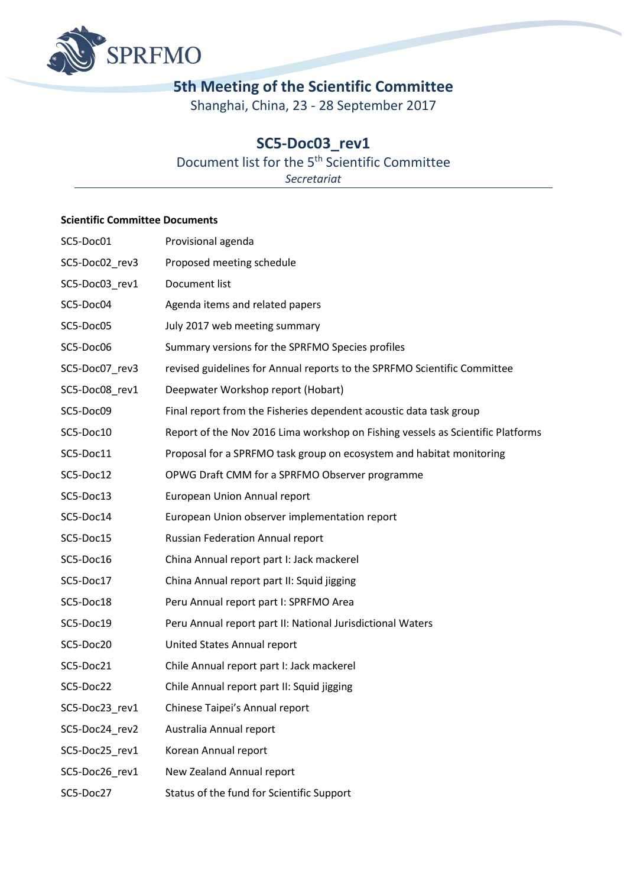

# **5th Meeting of the Scientific Committee**

Shanghai, China, 23 - 28 September 2017

# **SC5-Doc03\_rev1**

## Document list for the 5<sup>th</sup> Scientific Committee

*Secretariat*

#### **Scientific Committee Documents**

| SC5-Doc01      | Provisional agenda                                                              |
|----------------|---------------------------------------------------------------------------------|
| SC5-Doc02_rev3 | Proposed meeting schedule                                                       |
| SC5-Doc03 rev1 | Document list                                                                   |
| SC5-Doc04      | Agenda items and related papers                                                 |
| SC5-Doc05      | July 2017 web meeting summary                                                   |
| SC5-Doc06      | Summary versions for the SPRFMO Species profiles                                |
| SC5-Doc07_rev3 | revised guidelines for Annual reports to the SPRFMO Scientific Committee        |
| SC5-Doc08_rev1 | Deepwater Workshop report (Hobart)                                              |
| SC5-Doc09      | Final report from the Fisheries dependent acoustic data task group              |
| SC5-Doc10      | Report of the Nov 2016 Lima workshop on Fishing vessels as Scientific Platforms |
| SC5-Doc11      | Proposal for a SPRFMO task group on ecosystem and habitat monitoring            |
| SC5-Doc12      | OPWG Draft CMM for a SPRFMO Observer programme                                  |
| SC5-Doc13      | European Union Annual report                                                    |
| SC5-Doc14      | European Union observer implementation report                                   |
| SC5-Doc15      | <b>Russian Federation Annual report</b>                                         |
| SC5-Doc16      | China Annual report part I: Jack mackerel                                       |
| SC5-Doc17      | China Annual report part II: Squid jigging                                      |
| SC5-Doc18      | Peru Annual report part I: SPRFMO Area                                          |
| SC5-Doc19      | Peru Annual report part II: National Jurisdictional Waters                      |
| SC5-Doc20      | United States Annual report                                                     |
| SC5-Doc21      | Chile Annual report part I: Jack mackerel                                       |
| SC5-Doc22      | Chile Annual report part II: Squid jigging                                      |
| SC5-Doc23_rev1 | Chinese Taipei's Annual report                                                  |
| SC5-Doc24_rev2 | Australia Annual report                                                         |
| SC5-Doc25_rev1 | Korean Annual report                                                            |
| SC5-Doc26_rev1 | New Zealand Annual report                                                       |
| SC5-Doc27      | Status of the fund for Scientific Support                                       |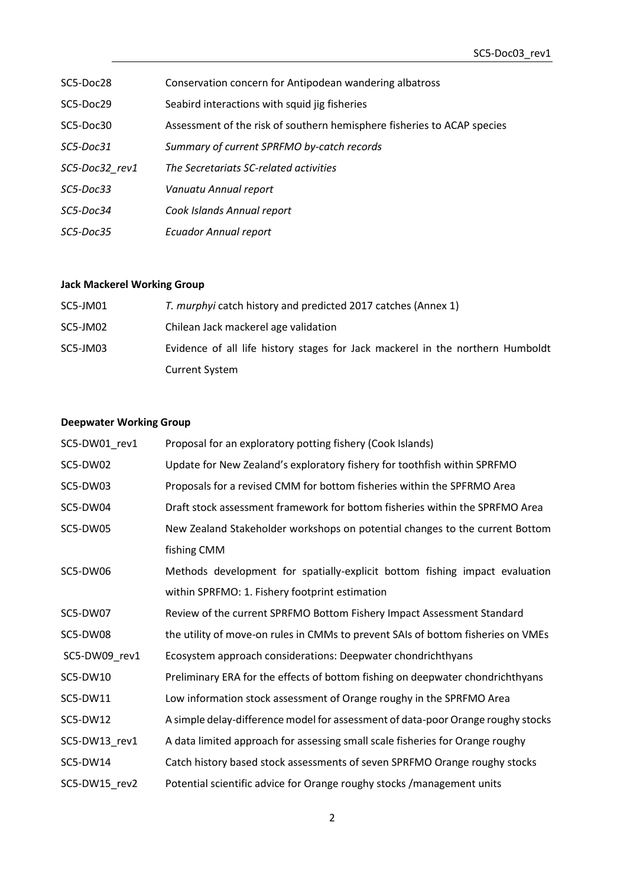| SC5-Doc28      | Conservation concern for Antipodean wandering albatross                 |
|----------------|-------------------------------------------------------------------------|
| SC5-Doc29      | Seabird interactions with squid jig fisheries                           |
| SC5-Doc30      | Assessment of the risk of southern hemisphere fisheries to ACAP species |
| SC5-Doc31      | Summary of current SPRFMO by-catch records                              |
| SC5-Doc32 rev1 | The Secretariats SC-related activities                                  |
| SC5-Doc33      | Vanuatu Annual report                                                   |
| SC5-Doc34      | Cook Islands Annual report                                              |
| SC5-Doc35      | <b>Ecuador Annual report</b>                                            |

### **Jack Mackerel Working Group**

| SC5-JM01 | T. murphyi catch history and predicted 2017 catches (Annex 1)                  |
|----------|--------------------------------------------------------------------------------|
| SC5-JM02 | Chilean Jack mackerel age validation                                           |
| SC5-JM03 | Evidence of all life history stages for Jack mackerel in the northern Humboldt |
|          | <b>Current System</b>                                                          |

### **Deepwater Working Group**

| SC5-DW01_rev1 | Proposal for an exploratory potting fishery (Cook Islands)                       |
|---------------|----------------------------------------------------------------------------------|
| SC5-DW02      | Update for New Zealand's exploratory fishery for toothfish within SPRFMO         |
| SC5-DW03      | Proposals for a revised CMM for bottom fisheries within the SPFRMO Area          |
| SC5-DW04      | Draft stock assessment framework for bottom fisheries within the SPRFMO Area     |
| SC5-DW05      | New Zealand Stakeholder workshops on potential changes to the current Bottom     |
|               | fishing CMM                                                                      |
| SC5-DW06      | Methods development for spatially-explicit bottom fishing impact evaluation      |
|               | within SPRFMO: 1. Fishery footprint estimation                                   |
| SC5-DW07      | Review of the current SPRFMO Bottom Fishery Impact Assessment Standard           |
| SC5-DW08      | the utility of move-on rules in CMMs to prevent SAIs of bottom fisheries on VMEs |
| SC5-DW09_rev1 | Ecosystem approach considerations: Deepwater chondrichthyans                     |
| SC5-DW10      | Preliminary ERA for the effects of bottom fishing on deepwater chondrichthyans   |
| SC5-DW11      | Low information stock assessment of Orange roughy in the SPRFMO Area             |
| SC5-DW12      | A simple delay-difference model for assessment of data-poor Orange roughy stocks |
| SC5-DW13_rev1 | A data limited approach for assessing small scale fisheries for Orange roughy    |
| SC5-DW14      | Catch history based stock assessments of seven SPRFMO Orange roughy stocks       |
| SC5-DW15 rev2 | Potential scientific advice for Orange roughy stocks / management units          |